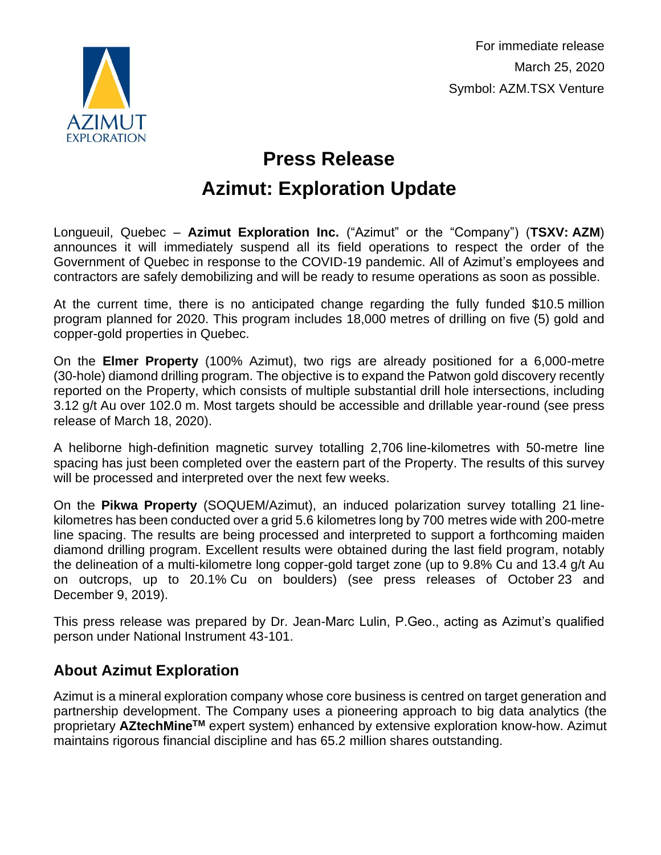

For immediate release March 25, 2020 Symbol: AZM.TSX Venture

## **Press Release Azimut: Exploration Update**

Longueuil, Quebec – **Azimut Exploration Inc.** ("Azimut" or the "Company") (**TSXV: AZM**) announces it will immediately suspend all its field operations to respect the order of the Government of Quebec in response to the COVID-19 pandemic. All of Azimut's employees and contractors are safely demobilizing and will be ready to resume operations as soon as possible.

At the current time, there is no anticipated change regarding the fully funded \$10.5 million program planned for 2020. This program includes 18,000 metres of drilling on five (5) gold and copper-gold properties in Quebec.

On the **Elmer Property** (100% Azimut), two rigs are already positioned for a 6,000-metre (30-hole) diamond drilling program. The objective is to expand the Patwon gold discovery recently reported on the Property, which consists of multiple substantial drill hole intersections, including 3.12 g/t Au over 102.0 m. Most targets should be accessible and drillable year-round (see press release of March 18, 2020).

A heliborne high-definition magnetic survey totalling 2,706 line-kilometres with 50-metre line spacing has just been completed over the eastern part of the Property. The results of this survey will be processed and interpreted over the next few weeks.

On the **Pikwa Property** (SOQUEM/Azimut), an induced polarization survey totalling 21 linekilometres has been conducted over a grid 5.6 kilometres long by 700 metres wide with 200-metre line spacing. The results are being processed and interpreted to support a forthcoming maiden diamond drilling program. Excellent results were obtained during the last field program, notably the delineation of a multi-kilometre long copper-gold target zone (up to 9.8% Cu and 13.4 g/t Au on outcrops, up to 20.1% Cu on boulders) (see press releases of October 23 and December 9, 2019).

This press release was prepared by Dr. Jean-Marc Lulin, P.Geo., acting as Azimut's qualified person under National Instrument 43-101.

## **About Azimut Exploration**

Azimut is a mineral exploration company whose core business is centred on target generation and partnership development. The Company uses a pioneering approach to big data analytics (the proprietary **AZtechMineTM** expert system) enhanced by extensive exploration know-how. Azimut maintains rigorous financial discipline and has 65.2 million shares outstanding.